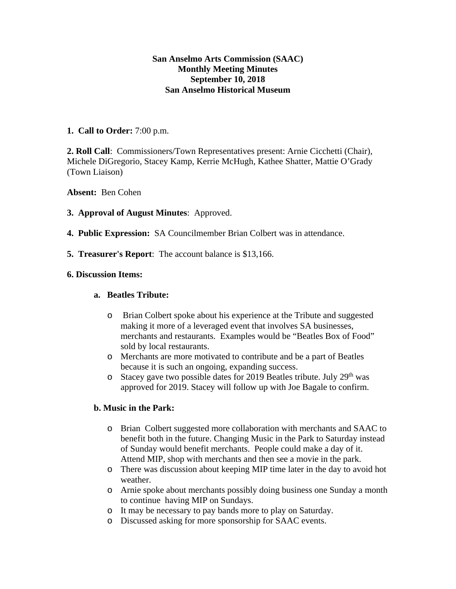## **San Anselmo Arts Commission (SAAC) Monthly Meeting Minutes September 10, 2018 San Anselmo Historical Museum**

### **1. Call to Order:** 7:00 p.m.

**2. Roll Call**: Commissioners/Town Representatives present: Arnie Cicchetti (Chair), Michele DiGregorio, Stacey Kamp, Kerrie McHugh, Kathee Shatter, Mattie O'Grady (Town Liaison)

**Absent:** Ben Cohen

## **3. Approval of August Minutes**: Approved.

- **4. Public Expression:** SA Councilmember Brian Colbert was in attendance.
- **5. Treasurer's Report**: The account balance is \$13,166.

## **6. Discussion Items:**

### **a. Beatles Tribute:**

- o Brian Colbert spoke about his experience at the Tribute and suggested making it more of a leveraged event that involves SA businesses, merchants and restaurants. Examples would be "Beatles Box of Food" sold by local restaurants.
- o Merchants are more motivated to contribute and be a part of Beatles because it is such an ongoing, expanding success.
- $\circ$  Stacey gave two possible dates for 2019 Beatles tribute. July 29<sup>th</sup> was approved for 2019. Stacey will follow up with Joe Bagale to confirm.

# **b. Music in the Park:**

- o Brian Colbert suggested more collaboration with merchants and SAAC to benefit both in the future. Changing Music in the Park to Saturday instead of Sunday would benefit merchants. People could make a day of it. Attend MIP, shop with merchants and then see a movie in the park.
- o There was discussion about keeping MIP time later in the day to avoid hot weather.
- o Arnie spoke about merchants possibly doing business one Sunday a month to continue having MIP on Sundays.
- o It may be necessary to pay bands more to play on Saturday.
- o Discussed asking for more sponsorship for SAAC events.